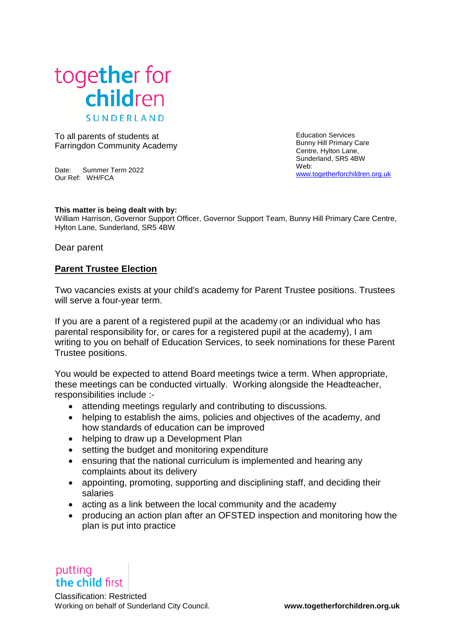

To all parents of students at Farringdon Community Academy

Date: Summer Term 2022 Our Ref: WH/FCA

Education Services Bunny Hill Primary Care Centre, Hylton Lane, Sunderland, SR5 4BW Web: [www.togetherforchildren.org.uk](http://www.togetherforchildren.org.uk/)

## **This matter is being dealt with by:**

William Harrison, Governor Support Officer, Governor Support Team, Bunny Hill Primary Care Centre, Hylton Lane, Sunderland, SR5 4BW

Dear parent

## **Parent Trustee Election**

Two vacancies exists at your child's academy for Parent Trustee positions. Trustees will serve a four-year term.

If you are a parent of a registered pupil at the academy (or an individual who has parental responsibility for, or cares for a registered pupil at the academy), I am writing to you on behalf of Education Services, to seek nominations for these Parent Trustee positions.

You would be expected to attend Board meetings twice a term. When appropriate, these meetings can be conducted virtually. Working alongside the Headteacher, responsibilities include :-

- attending meetings regularly and contributing to discussions.
- helping to establish the aims, policies and objectives of the academy, and how standards of education can be improved
- helping to draw up a Development Plan
- setting the budget and monitoring expenditure
- ensuring that the national curriculum is implemented and hearing any complaints about its delivery
- appointing, promoting, supporting and disciplining staff, and deciding their salaries
- acting as a link between the local community and the academy
- producing an action plan after an OFSTED inspection and monitoring how the plan is put into practice

putting the child first

Classification: Restricted Working on behalf of Sunderland City Council. **www.togetherforchildren.org.uk**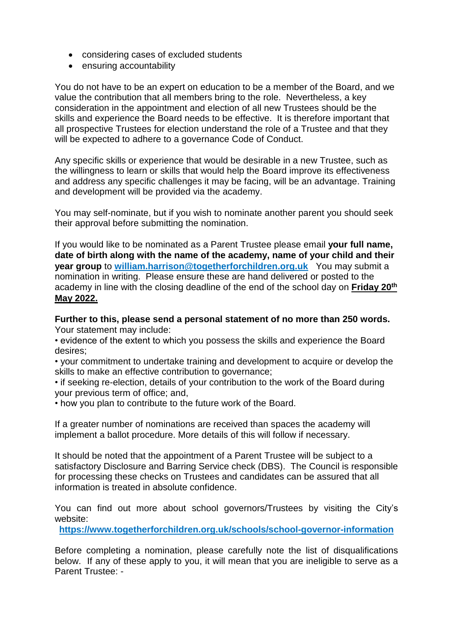- considering cases of excluded students
- ensuring accountability

You do not have to be an expert on education to be a member of the Board, and we value the contribution that all members bring to the role. Nevertheless, a key consideration in the appointment and election of all new Trustees should be the skills and experience the Board needs to be effective. It is therefore important that all prospective Trustees for election understand the role of a Trustee and that they will be expected to adhere to a governance Code of Conduct.

Any specific skills or experience that would be desirable in a new Trustee, such as the willingness to learn or skills that would help the Board improve its effectiveness and address any specific challenges it may be facing, will be an advantage. Training and development will be provided via the academy.

You may self-nominate, but if you wish to nominate another parent you should seek their approval before submitting the nomination.

If you would like to be nominated as a Parent Trustee please email **your full name, date of birth along with the name of the academy, name of your child and their year group** to **[william.harrison@togetherforchildren.org.uk](mailto:william.harrison@togetherforchildren.org.uk)** You may submit a nomination in writing. Please ensure these are hand delivered or posted to the academy in line with the closing deadline of the end of the school day on **Friday 20th May 2022.**

**Further to this, please send a personal statement of no more than 250 words.** Your statement may include:

• evidence of the extent to which you possess the skills and experience the Board desires;

- your commitment to undertake training and development to acquire or develop the skills to make an effective contribution to governance;
- if seeking re-election, details of your contribution to the work of the Board during your previous term of office; and,
- how you plan to contribute to the future work of the Board.

If a greater number of nominations are received than spaces the academy will implement a ballot procedure. More details of this will follow if necessary.

It should be noted that the appointment of a Parent Trustee will be subject to a satisfactory Disclosure and Barring Service check (DBS). The Council is responsible for processing these checks on Trustees and candidates can be assured that all information is treated in absolute confidence.

You can find out more about school governors/Trustees by visiting the City's website:

**<https://www.togetherforchildren.org.uk/schools/school-governor-information>**

Before completing a nomination, please carefully note the list of disqualifications below. If any of these apply to you, it will mean that you are ineligible to serve as a Parent Trustee: -